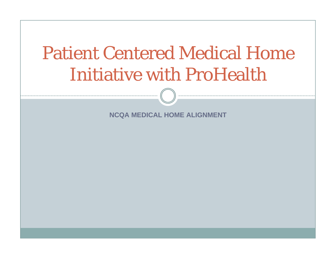# Patient Centered Medical Home Initiative with ProHealth

**NCQA MEDICAL HOME ALIGNMENT**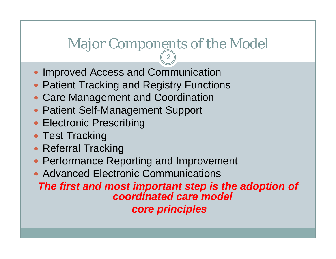## Major Components of the Model

2

- Improved Access and Communication
- Patient Tracking and Registry Functions
- Care Management and Coordination
- Patient Self-Management Support
- Electronic Prescribing
- Test Tracking
- Referral Tracking
- Performance Reporting and Improvement
- Advanced Electronic Communications

*The first and most important step is the adoption of coordinated care model core principles*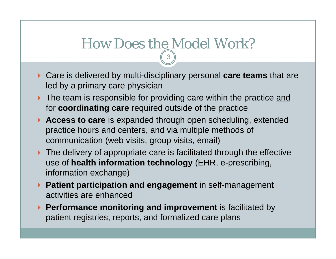## How Does the Model Work?

3

- ` Care is delivered by multi-disciplinary personal **care teams** that are led by a primary care physician
- $\blacktriangleright$  The team is responsible for providing care within the practice  $\underline{\text{and}}$ for **coordinating care** required outside of the practice
- **Access to care** is expanded through open scheduling, extended practice hours and centers, and via multiple methods of communication (web visits, group visits, email)
- $\blacktriangleright$  The delivery of appropriate care is facilitated through the effective use of **health information technology** (EHR, e-prescribing, information exchange)
- **Patient participation and engagement** in self-management activities are enhanced
- **Performance monitoring and improvement** is facilitated by patient registries, reports, and formalized care plans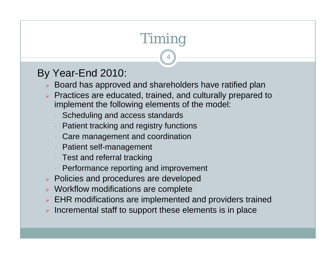## Timing

4

#### By Year-End 2010:

- ¾ Board has approved and shareholders have ratified plan
- ¾ Practices are educated, trained, and culturally prepared to implement the following elements of the model:
	- Scheduling and access standards
	- Patient tracking and registry functions
	- Care management and coordination
	- Patient self-management
	- Test and referral tracking
	- Performance reporting and improvement
- ¾ Policies and procedures are developed
- ¾ Workflow modifications are complete
- ¾ EHR modifications are implemented and providers trained
- ¾ Incremental staff to support these elements is in place